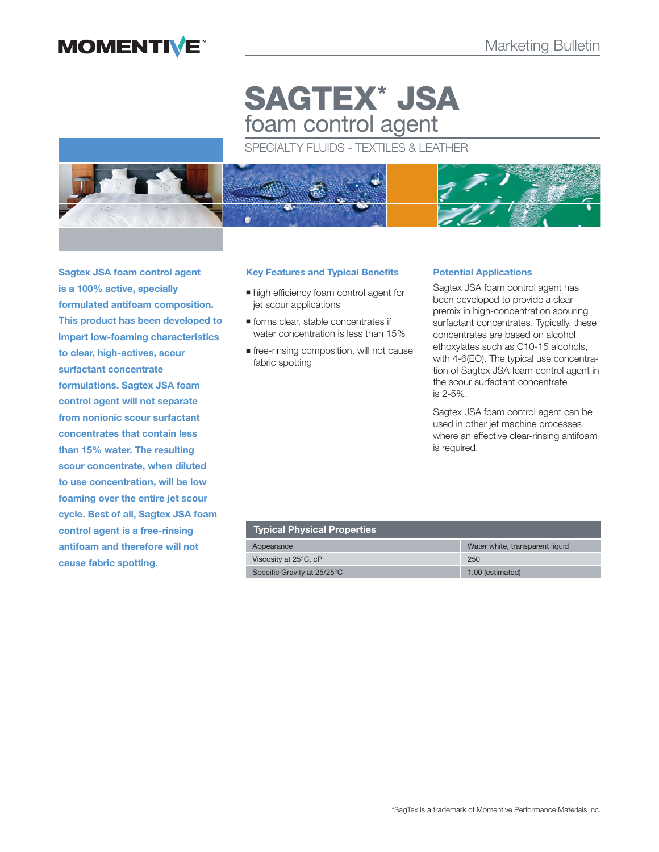## **MOMENTIVE**

# **SAGTEX\* JSA** foam control agent

SPECIALTY FLUIDS - TEXTILES & LEATHER



**Sagtex JSA foam control agent is a 100% active, specially formulated antifoam composition. This product has been developed to impart low-foaming characteristics to clear, high-actives, scour surfactant concentrate formulations. Sagtex JSA foam control agent will not separate from nonionic scour surfactant concentrates that contain less than 15% water. The resulting scour concentrate, when diluted to use concentration, will be low foaming over the entire jet scour cycle. Best of all, Sagtex JSA foam control agent is a free-rinsing antifoam and therefore will not cause fabric spotting.**

## **Key Features and Typical Benefits**

- $\blacksquare$  high efficiency foam control agent for jet scour applications
- **forms clear, stable concentrates if** water concentration is less than 15%
- **free-rinsing composition, will not cause** fabric spotting

## **Potential Applications**

Sagtex JSA foam control agent has been developed to provide a clear premix in high-concentration scouring surfactant concentrates. Typically, these concentrates are based on alcohol ethoxylates such as C10-15 alcohols, with 4-6(EO). The typical use concentration of Sagtex JSA foam control agent in the scour surfactant concentrate is 2-5%.

Sagtex JSA foam control agent can be used in other jet machine processes where an effective clear-rinsing antifoam is required.

## **Typical Physical Properties**

| Appearance                  | Water white, transparent liquid |
|-----------------------------|---------------------------------|
| Viscosity at 25°C, cP       | 250                             |
| Specific Gravity at 25/25°C | 1.00 (estimated)                |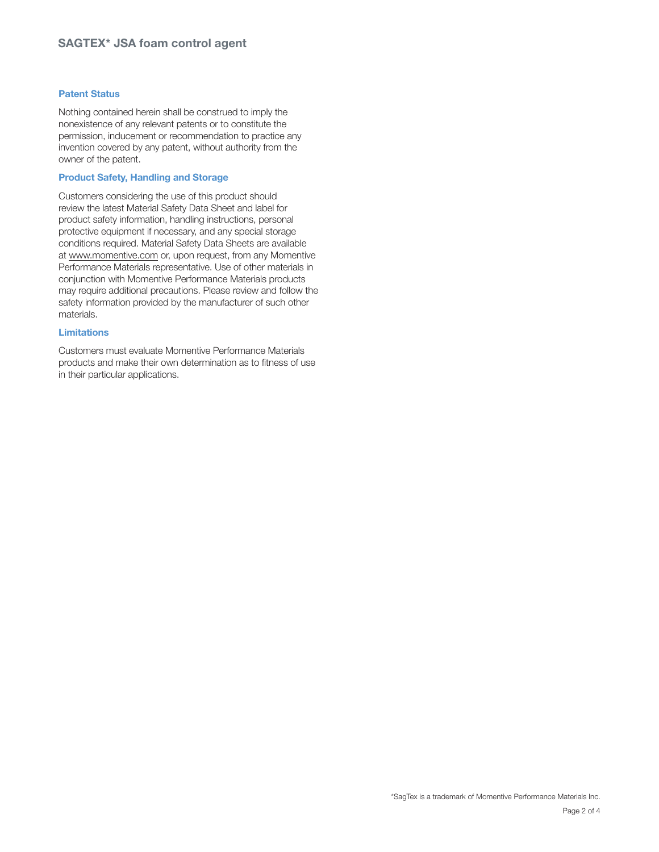## **Patent Status**

Nothing contained herein shall be construed to imply the nonexistence of any relevant patents or to constitute the permission, inducement or recommendation to practice any invention covered by any patent, without authority from the owner of the patent.

## **Product Safety, Handling and Storage**

Customers considering the use of this product should review the latest Material Safety Data Sheet and label for product safety information, handling instructions, personal protective equipment if necessary, and any special storage conditions required. Material Safety Data Sheets are available at www.momentive.com or, upon request, from any Momentive Performance Materials representative. Use of other materials in conjunction with Momentive Performance Materials products may require additional precautions. Please review and follow the safety information provided by the manufacturer of such other materials.

### **Limitations**

Customers must evaluate Momentive Performance Materials products and make their own determination as to fitness of use in their particular applications.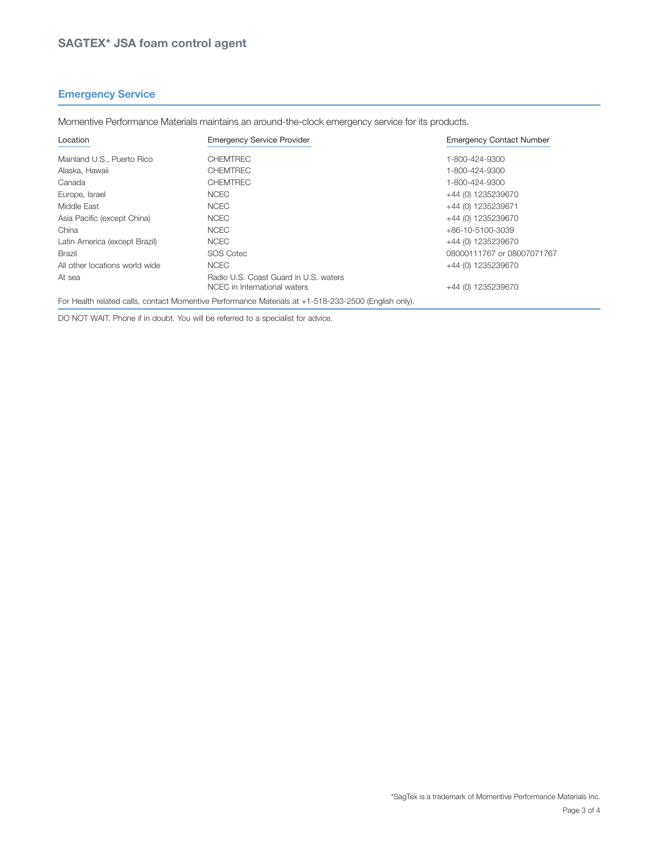## **Emergency Service**

Momentive Performance Materials maintains an around-the-clock emergency service for its products.

| Location                       | <b>Emergency Service Provider</b>                                     | <b>Emergency Contact Number</b> |
|--------------------------------|-----------------------------------------------------------------------|---------------------------------|
| Mainland U.S., Puerto Rico     | <b>CHEMTREC</b>                                                       | 1-800-424-9300                  |
| Alaska, Hawaii                 | <b>CHEMTREC</b>                                                       | 1-800-424-9300                  |
| Canada                         | <b>CHEMTREC</b>                                                       | 1-800-424-9300                  |
| Europe, Israel                 | <b>NCEC</b>                                                           | +44 (0) 1235239670              |
| Middle East                    | <b>NCEC</b>                                                           | +44 (0) 1235239671              |
| Asia Pacific (except China)    | <b>NCEC</b>                                                           | +44 (0) 1235239670              |
| China                          | <b>NCEC</b>                                                           | +86-10-5100-3039                |
| Latin America (except Brazil)  | <b>NCEC</b>                                                           | +44 (0) 1235239670              |
| <b>Brazil</b>                  | <b>SOS Cotec</b>                                                      | 08000111767 or 08007071767      |
| All other locations world wide | <b>NCEC</b>                                                           | +44 (0) 1235239670              |
| At sea                         | Radio U.S. Coast Guard in U.S. waters<br>NCEC in International waters | +44 (0) 1235239670              |

For Health related calls, contact Momentive Performance Materials at +1-518-233-2500 (English only).

DO NOT WAIT. Phone if in doubt. You will be referred to a specialist for advice.